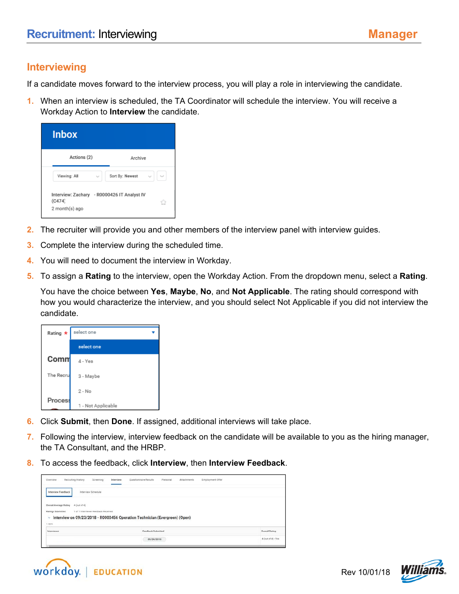## **Interviewing**

If a candidate moves forward to the interview process, you will play a role in interviewing the candidate.

**1.** When an interview is scheduled, the TA Coordinator will schedule the interview. You will receive a Workday Action to **Interview** the candidate.

| <b>Inbox</b>                                                            |                                 |
|-------------------------------------------------------------------------|---------------------------------|
| Actions (2)                                                             | Archive                         |
| Viewing: All<br>$\sim$                                                  | Sort By: Newest<br>$\checkmark$ |
| Interview: Zachary - R0000426 IT Analyst IV<br>(C474)<br>2 month(s) ago |                                 |

- **2.** The recruiter will provide you and other members of the interview panel with interview guides.
- **3.** Complete the interview during the scheduled time.
- **4.** You will need to document the interview in Workday.
- **5.** To assign a **Rating** to the interview, open the Workday Action. From the dropdown menu, select a **Rating**.

You have the choice between **Yes**, **Maybe**, **No**, and **Not Applicable**. The rating should correspond with how you would characterize the interview, and you should select Not Applicable if you did not interview the candidate.

| Rating *       | select one         |  |
|----------------|--------------------|--|
|                | select one         |  |
| Comm           | 4 - Yes            |  |
| The Recru      | 3 - Maybe          |  |
|                | $2 - No$           |  |
| <b>Process</b> | 1 - Not Applicable |  |

- **6.** Click **Submit**, then **Done**. If assigned, additional interviews will take place.
- **7.** Following the interview, interview feedback on the candidate will be available to you as the hiring manager, the TA Consultant, and the HRBP.
- **8.** To access the feedback, click **Interview**, then **Interview Feedback**.

| ___                                                    | Questionnaire Results<br>Personal<br>Attachments<br>Interview              | Employment Offer      |
|--------------------------------------------------------|----------------------------------------------------------------------------|-----------------------|
| Interview Schedule<br>Interview Feedback               |                                                                            |                       |
| <b>Overall Average Rating</b><br>$4$ (out of 4)        |                                                                            |                       |
|                                                        |                                                                            |                       |
| 1 of 1 Interviewer Feedback Received                   |                                                                            |                       |
|                                                        | Interview on 09/23/2018 - R0000456 Operation Technician (Evergreen) (Open) |                       |
|                                                        |                                                                            |                       |
| <b>Ratings Submitted</b><br>V<br>+ ltem<br>Interviewer | Feedback Submitted                                                         | <b>Overall Rating</b> |